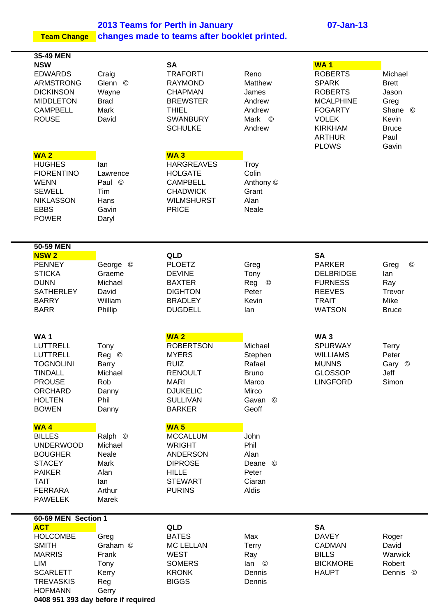**2013 Teams for Perth in January 07-Jan-13 Team Change changes made to teams after booklet printed.**

**35-49 MEN NSW SA WA 1**  EDWARDS Craig TRAFORTI Reno ROBERTS Michael ARMSTRONG Glenn © RAYMOND Matthew SPARK Brett DICKINSON Wayne CHAPMAN James ROBERTS Jason MIDDLETON Brad BREWSTER Andrew MCALPHINE Greg CAMPBELL Mark THIEL Andrew FOGARTY Shane © ROUSE David SWANBURY Mark © VOLEK Kevin SCHULKE Andrew KIRKHAM Bruce ARTHUR Paul PLOWS Gavin **WA 2 WA 3** HUGHES Ian HARGREAVES Troy FIORENTINO Lawrence HOLGATE Colin WENN Paul © CAMPBELL Anthony © SEWELL Tim CHADWICK Grant NIKLASSON Hans WILMSHURST Alan EBBS Gavin PRICE Neale POWER Daryl **50-59 MEN NSW 2 QLD SA** PENNEY George © PLOETZ Greg PARKER Greg © STICKA Graeme DEVINE Tony DELBRIDGE lan DUNN Michael BAXTER Reg © FURNESS Ray SATHERLEY David **DIGHTON** Peter REEVES Trevor BARRY William BRADLEY Kevin TRAIT Mike BARR Phillip DUGDELL Ian WATSON Bruce **WA 1 WA 2 WA 3** LUTTRELL Tony ROBERTSON Michael SPURWAY Terry LUTTRELL Reg © MYERS Stephen WILLIAMS Peter TOGNOLINI Barry RUIZ Rafael MUNNS Gary © TINDALL Michael RENOULT Bruno GLOSSOP Jeff PROUSE Rob MARI Marco LINGFORD Simon ORCHARD Danny DJUKELIC Mirco HOLTEN Phil SULLIVAN Gavan © BOWEN Danny BARKER Geoff **WA 4 WA 5** BILLES Ralph © MCCALLUM John UNDERWOOD Michael WRIGHT Phil BOUGHER Neale ANDERSON Alan STACEY Mark DIPROSE Deane © PAIKER Alan HILLE Peter TAIT Ian Ian STEWART Ciaran FERRARA Arthur PURINS Aldis PAWELEK Marek **60-69 MEN Section 1 ACT QLD SA** HOLCOMBE Greg BATES Max DAVEY Roger SMITH Graham © MC LELLAN Terry CADMAN David MARRIS Frank WEST Ray BILLS Warwick LIM Tony SOMERS Ian © BICKMORE Robert SCARLETT Kerry KRONK Dennis HAUPT Dennis © TREVASKIS Reg BIGGS Dennis HOFMANN Gerry **0408 951 393 day before if required**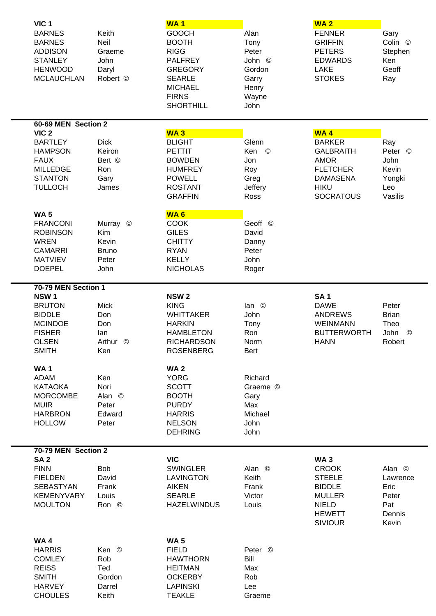| VIC <sub>1</sub><br><b>BARNES</b><br><b>BARNES</b><br><b>ADDISON</b><br><b>STANLEY</b><br><b>HENWOOD</b><br><b>MCLAUCHLAN</b> | Keith<br>Neil<br>Graeme<br>John<br>Daryl<br>Robert © | WA <sub>1</sub><br><b>GOOCH</b><br><b>BOOTH</b><br><b>RIGG</b><br><b>PALFREY</b><br><b>GREGORY</b><br><b>SEARLE</b><br><b>MICHAEL</b><br><b>FIRNS</b><br><b>SHORTHILL</b> | Alan<br>Tony<br>Peter<br>John ©<br>Gordon<br>Garry<br>Henry<br>Wayne<br>John | <b>WA2</b><br><b>FENNER</b><br><b>GRIFFIN</b><br><b>PETERS</b><br><b>EDWARDS</b><br><b>LAKE</b><br><b>STOKES</b> | Gary<br>Colin ©<br>Stephen<br>Ken<br>Geoff<br>Ray |
|-------------------------------------------------------------------------------------------------------------------------------|------------------------------------------------------|---------------------------------------------------------------------------------------------------------------------------------------------------------------------------|------------------------------------------------------------------------------|------------------------------------------------------------------------------------------------------------------|---------------------------------------------------|
| 60-69 MEN Section 2<br>VIC <sub>2</sub>                                                                                       |                                                      | WA <sub>3</sub>                                                                                                                                                           |                                                                              | WA4                                                                                                              |                                                   |
| <b>BARTLEY</b><br><b>HAMPSON</b>                                                                                              | <b>Dick</b><br>Keiron                                | <b>BLIGHT</b><br><b>PETTIT</b>                                                                                                                                            | Glenn<br>Ken<br>$\circledcirc$                                               | <b>BARKER</b><br><b>GALBRAITH</b>                                                                                | Ray<br>Peter ©                                    |
| <b>FAUX</b>                                                                                                                   | Bert ©                                               | <b>BOWDEN</b>                                                                                                                                                             | Jon                                                                          | <b>AMOR</b>                                                                                                      | John                                              |
| <b>MILLEDGE</b>                                                                                                               | Ron                                                  | <b>HUMFREY</b>                                                                                                                                                            | Roy                                                                          | <b>FLETCHER</b>                                                                                                  | Kevin                                             |
| <b>STANTON</b><br><b>TULLOCH</b>                                                                                              | Gary<br>James                                        | <b>POWELL</b><br><b>ROSTANT</b>                                                                                                                                           | Greg<br>Jeffery                                                              | <b>DAMASENA</b><br><b>HIKU</b>                                                                                   | Yongki<br>Leo                                     |
|                                                                                                                               |                                                      | <b>GRAFFIN</b>                                                                                                                                                            | Ross                                                                         | <b>SOCRATOUS</b>                                                                                                 | Vasilis                                           |
| <b>WA5</b>                                                                                                                    |                                                      | WA <sub>6</sub>                                                                                                                                                           |                                                                              |                                                                                                                  |                                                   |
| <b>FRANCONI</b>                                                                                                               | Murray ©                                             | <b>COOK</b>                                                                                                                                                               | Geoff ©                                                                      |                                                                                                                  |                                                   |
| <b>ROBINSON</b><br><b>WREN</b>                                                                                                | Kim<br>Kevin                                         | <b>GILES</b><br><b>CHITTY</b>                                                                                                                                             | David<br>Danny                                                               |                                                                                                                  |                                                   |
| <b>CAMARRI</b>                                                                                                                | <b>Bruno</b>                                         | <b>RYAN</b>                                                                                                                                                               | Peter                                                                        |                                                                                                                  |                                                   |
| <b>MATVIEV</b>                                                                                                                | Peter                                                | <b>KELLY</b>                                                                                                                                                              | John                                                                         |                                                                                                                  |                                                   |
| <b>DOEPEL</b>                                                                                                                 | John                                                 | <b>NICHOLAS</b>                                                                                                                                                           | Roger                                                                        |                                                                                                                  |                                                   |
| 70-79 MEN Section 1<br>NSW <sub>1</sub>                                                                                       |                                                      | <b>NSW2</b>                                                                                                                                                               |                                                                              | <b>SA1</b>                                                                                                       |                                                   |
| <b>BRUTON</b>                                                                                                                 | <b>Mick</b>                                          | <b>KING</b>                                                                                                                                                               | lan ©                                                                        | <b>DAWE</b>                                                                                                      | Peter                                             |
| <b>BIDDLE</b>                                                                                                                 | Don                                                  | <b>WHITTAKER</b>                                                                                                                                                          | John                                                                         | <b>ANDREWS</b>                                                                                                   | <b>Brian</b>                                      |
| <b>MCINDOE</b><br><b>FISHER</b>                                                                                               | Don<br>lan                                           | <b>HARKIN</b><br><b>HAMBLETON</b>                                                                                                                                         | Tony<br>Ron                                                                  | <b>WEINMANN</b><br><b>BUTTERWORTH</b>                                                                            | Theo<br>John<br>©                                 |
| <b>OLSEN</b>                                                                                                                  | Arthur ©                                             | <b>RICHARDSON</b>                                                                                                                                                         | Norm                                                                         | <b>HANN</b>                                                                                                      | Robert                                            |
| <b>SMITH</b>                                                                                                                  | Ken                                                  | <b>ROSENBERG</b>                                                                                                                                                          | Bert                                                                         |                                                                                                                  |                                                   |
| <b>WA1</b>                                                                                                                    |                                                      | <b>WA2</b>                                                                                                                                                                |                                                                              |                                                                                                                  |                                                   |
| ADAM                                                                                                                          | Ken                                                  | <b>YORG</b>                                                                                                                                                               | Richard                                                                      |                                                                                                                  |                                                   |
| <b>KATAOKA</b><br><b>MORCOMBE</b>                                                                                             | Nori<br>Alan ©                                       | <b>SCOTT</b><br><b>BOOTH</b>                                                                                                                                              | Graeme ©<br>Gary                                                             |                                                                                                                  |                                                   |
| <b>MUIR</b>                                                                                                                   | Peter                                                | <b>PURDY</b>                                                                                                                                                              | Max                                                                          |                                                                                                                  |                                                   |
| <b>HARBRON</b>                                                                                                                | Edward                                               | <b>HARRIS</b>                                                                                                                                                             | Michael                                                                      |                                                                                                                  |                                                   |
| <b>HOLLOW</b>                                                                                                                 | Peter                                                | <b>NELSON</b><br><b>DEHRING</b>                                                                                                                                           | John<br>John                                                                 |                                                                                                                  |                                                   |
|                                                                                                                               |                                                      |                                                                                                                                                                           |                                                                              |                                                                                                                  |                                                   |
| 70-79 MEN Section 2<br>SA <sub>2</sub>                                                                                        |                                                      | <b>VIC</b>                                                                                                                                                                |                                                                              | <b>WA3</b>                                                                                                       |                                                   |
| <b>FINN</b>                                                                                                                   | <b>Bob</b>                                           | <b>SWINGLER</b>                                                                                                                                                           | Alan ©                                                                       | <b>CROOK</b>                                                                                                     | Alan ©                                            |
| <b>FIELDEN</b>                                                                                                                | David                                                | <b>LAVINGTON</b>                                                                                                                                                          | Keith                                                                        | <b>STEELE</b>                                                                                                    | Lawrence                                          |
| <b>SEBASTYAN</b><br><b>KEMENYVARY</b>                                                                                         | Frank<br>Louis                                       | <b>AIKEN</b><br><b>SEARLE</b>                                                                                                                                             | Frank<br>Victor                                                              | <b>BIDDLE</b><br><b>MULLER</b>                                                                                   | Eric<br>Peter                                     |
| <b>MOULTON</b>                                                                                                                | Ron ©                                                | <b>HAZELWINDUS</b>                                                                                                                                                        | Louis                                                                        | <b>NIELD</b>                                                                                                     | Pat                                               |
|                                                                                                                               |                                                      |                                                                                                                                                                           |                                                                              | <b>HEWETT</b><br><b>SIVIOUR</b>                                                                                  | Dennis<br>Kevin                                   |
| <b>WA4</b>                                                                                                                    |                                                      | <b>WA5</b>                                                                                                                                                                |                                                                              |                                                                                                                  |                                                   |
| <b>HARRIS</b>                                                                                                                 | Ken ©                                                | <b>FIELD</b>                                                                                                                                                              | Peter ©                                                                      |                                                                                                                  |                                                   |
| <b>COMLEY</b>                                                                                                                 | Rob                                                  | <b>HAWTHORN</b>                                                                                                                                                           | Bill                                                                         |                                                                                                                  |                                                   |
| <b>REISS</b><br><b>SMITH</b>                                                                                                  | Ted<br>Gordon                                        | <b>HEITMAN</b><br><b>OCKERBY</b>                                                                                                                                          | Max<br>Rob                                                                   |                                                                                                                  |                                                   |
| <b>HARVEY</b>                                                                                                                 | Darrel                                               | <b>LAPINSKI</b>                                                                                                                                                           | Lee                                                                          |                                                                                                                  |                                                   |
| <b>CHOULES</b>                                                                                                                | Keith                                                | <b>TEAKLE</b>                                                                                                                                                             | Graeme                                                                       |                                                                                                                  |                                                   |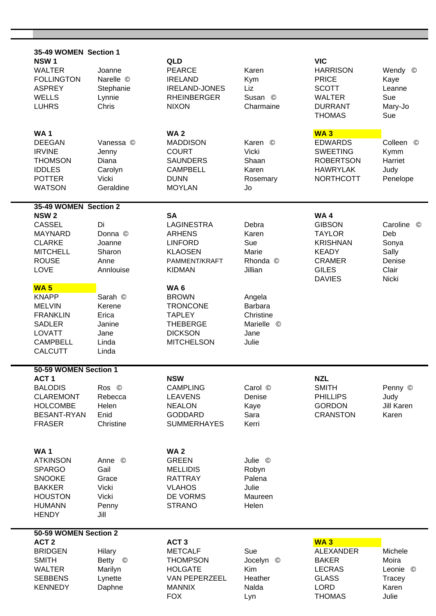| 35-49 WOMEN Section 1              |                    |                                    |                            |                                 |                   |  |  |
|------------------------------------|--------------------|------------------------------------|----------------------------|---------------------------------|-------------------|--|--|
| NSW <sub>1</sub>                   |                    | QLD                                |                            | <b>VIC</b>                      |                   |  |  |
| <b>WALTER</b>                      | Joanne             | <b>PEARCE</b>                      | Karen                      | <b>HARRISON</b>                 | Wendy ©           |  |  |
| <b>FOLLINGTON</b>                  | Narelle ©          | <b>IRELAND</b>                     | Kym                        | <b>PRICE</b>                    | Kaye              |  |  |
| <b>ASPREY</b>                      | Stephanie          | <b>IRELAND-JONES</b>               | Liz                        | <b>SCOTT</b>                    | Leanne            |  |  |
| <b>WELLS</b><br><b>LUHRS</b>       | Lynnie<br>Chris    | <b>RHEINBERGER</b><br><b>NIXON</b> | Susan ©                    | <b>WALTER</b><br><b>DURRANT</b> | Sue               |  |  |
|                                    |                    |                                    | Charmaine                  | <b>THOMAS</b>                   | Mary-Jo<br>Sue    |  |  |
|                                    |                    |                                    |                            |                                 |                   |  |  |
| <b>WA1</b>                         |                    | <b>WA2</b>                         |                            | <b>WA3</b>                      |                   |  |  |
| <b>DEEGAN</b>                      | Vanessa ©          | <b>MADDISON</b>                    | $\circledcirc$<br>Karen    | <b>EDWARDS</b>                  | Colleen ©         |  |  |
| <b>IRVINE</b>                      | Jenny              | <b>COURT</b>                       | Vicki                      | <b>SWEETING</b>                 | Kymm              |  |  |
| <b>THOMSON</b>                     | Diana              | <b>SAUNDERS</b>                    | Shaan                      | <b>ROBERTSON</b>                | Harriet           |  |  |
| <b>IDDLES</b>                      | Carolyn            | <b>CAMPBELL</b>                    | Karen                      | <b>HAWRYLAK</b>                 | Judy              |  |  |
| <b>POTTER</b><br><b>WATSON</b>     | Vicki<br>Geraldine | <b>DUNN</b><br><b>MOYLAN</b>       | Rosemary<br>Jo             | <b>NORTHCOTT</b>                | Penelope          |  |  |
|                                    |                    |                                    |                            |                                 |                   |  |  |
| 35-49 WOMEN Section 2              |                    |                                    |                            |                                 |                   |  |  |
| <b>NSW2</b>                        |                    | <b>SA</b>                          |                            | <b>WA4</b>                      |                   |  |  |
| <b>CASSEL</b><br><b>MAYNARD</b>    | Di<br>Donna ©      | <b>LAGINESTRA</b>                  | Debra<br>Karen             | <b>GIBSON</b><br><b>TAYLOR</b>  | Caroline ©<br>Deb |  |  |
| <b>CLARKE</b>                      | Joanne             | <b>ARHENS</b><br><b>LINFORD</b>    | Sue                        | <b>KRISHNAN</b>                 | Sonya             |  |  |
| <b>MITCHELL</b>                    | Sharon             | <b>KLAOSEN</b>                     | Marie                      | <b>KEADY</b>                    | Sally             |  |  |
| <b>ROUSE</b>                       | Anne               | PAMMENT/KRAFT                      | Rhonda ©                   | <b>CRAMER</b>                   | Denise            |  |  |
| LOVE                               | Annlouise          | <b>KIDMAN</b>                      | Jillian                    | <b>GILES</b>                    | Clair             |  |  |
|                                    |                    |                                    |                            | <b>DAVIES</b>                   | Nicki             |  |  |
| <b>WA5</b>                         |                    | WA <sub>6</sub>                    |                            |                                 |                   |  |  |
| <b>KNAPP</b>                       | Sarah ©            | <b>BROWN</b>                       | Angela                     |                                 |                   |  |  |
| <b>MELVIN</b><br><b>FRANKLIN</b>   | Kerene<br>Erica    | <b>TRONCONE</b><br><b>TAPLEY</b>   | Barbara<br>Christine       |                                 |                   |  |  |
| <b>SADLER</b>                      | Janine             | <b>THEBERGE</b>                    | Marielle<br>$\circledcirc$ |                                 |                   |  |  |
| LOVATT                             | Jane               | <b>DICKSON</b>                     | Jane                       |                                 |                   |  |  |
| <b>CAMPBELL</b>                    | Linda              | <b>MITCHELSON</b>                  | Julie                      |                                 |                   |  |  |
| <b>CALCUTT</b>                     | Linda              |                                    |                            |                                 |                   |  |  |
| 50-59 WOMEN Section 1              |                    |                                    |                            |                                 |                   |  |  |
| ACT <sub>1</sub>                   |                    | <b>NSW</b>                         |                            | <b>NZL</b>                      |                   |  |  |
| <b>BALODIS</b>                     | Ros ©              | <b>CAMPLING</b>                    | Carol ©                    | <b>SMITH</b>                    | Penny ©           |  |  |
| <b>CLAREMONT</b>                   | Rebecca            | <b>LEAVENS</b>                     | Denise                     | <b>PHILLIPS</b>                 | Judy              |  |  |
| <b>HOLCOMBE</b>                    | Helen              | <b>NEALON</b>                      | Kaye                       | <b>GORDON</b>                   | Jill Karen        |  |  |
| BESANT-RYAN                        | Enid               | <b>GODDARD</b>                     | Sara                       | <b>CRANSTON</b>                 | Karen             |  |  |
| <b>FRASER</b>                      | Christine          | <b>SUMMERHAYES</b>                 | Kerri                      |                                 |                   |  |  |
|                                    |                    |                                    |                            |                                 |                   |  |  |
| <b>WA1</b>                         |                    | <b>WA2</b>                         |                            |                                 |                   |  |  |
| <b>ATKINSON</b>                    | Anne ©             | <b>GREEN</b>                       | Julie ©                    |                                 |                   |  |  |
| <b>SPARGO</b>                      | Gail               | <b>MELLIDIS</b>                    | Robyn                      |                                 |                   |  |  |
| <b>SNOOKE</b>                      | Grace              | <b>RATTRAY</b>                     | Palena                     |                                 |                   |  |  |
| <b>BAKKER</b><br><b>HOUSTON</b>    | Vicki<br>Vicki     | <b>VLAHOS</b><br>DE VORMS          | Julie<br>Maureen           |                                 |                   |  |  |
| <b>HUMANN</b>                      | Penny              | <b>STRANO</b>                      | Helen                      |                                 |                   |  |  |
| <b>HENDY</b>                       | Jill               |                                    |                            |                                 |                   |  |  |
|                                    |                    |                                    |                            |                                 |                   |  |  |
| 50-59 WOMEN Section 2              |                    |                                    |                            |                                 |                   |  |  |
| ACT <sub>2</sub><br><b>BRIDGEN</b> |                    | ACT <sub>3</sub><br><b>METCALF</b> | Sue                        | <b>WA3</b><br><b>ALEXANDER</b>  | Michele           |  |  |
| <b>SMITH</b>                       | Hilary<br>Betty ©  | <b>THOMPSON</b>                    | Jocelyn ©                  | <b>BAKER</b>                    | Moira             |  |  |
| <b>WALTER</b>                      | Marilyn            | <b>HOLGATE</b>                     | <b>Kim</b>                 | <b>LECRAS</b>                   | Leonie ©          |  |  |
| <b>SEBBENS</b>                     | Lynette            | VAN PEPERZEEL                      | Heather                    | <b>GLASS</b>                    | Tracey            |  |  |
| <b>KENNEDY</b>                     | Daphne             | <b>MANNIX</b>                      | Nalda                      | <b>LORD</b>                     | Karen             |  |  |
|                                    |                    | <b>FOX</b>                         | Lyn                        | <b>THOMAS</b>                   | Julie             |  |  |

的,我们也不会有什么?""我们的人,我们也不会有什么?""我们的人,我们也不会有什么?""我们的人,我们也不会有什么?""我们的人,我们也不会有什么?""我们的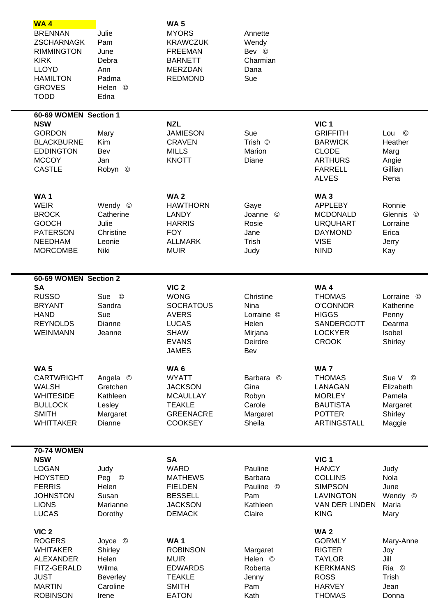| <b>WA4</b><br><b>BRENNAN</b><br><b>ZSCHARNAGK</b><br><b>RIMMINGTON</b><br><b>KIRK</b><br><b>LLOYD</b><br><b>HAMILTON</b><br><b>GROVES</b><br><b>TODD</b> | Julie<br>Pam<br>June<br>Debra<br>Ann<br>Padma<br>Helen ©<br>Edna | <b>WA5</b><br><b>MYORS</b><br><b>KRAWCZUK</b><br><b>FREEMAN</b><br><b>BARNETT</b><br><b>MERZDAN</b><br><b>REDMOND</b> | Annette<br>Wendy<br>Bev ©<br>Charmian<br>Dana<br>Sue |                                   |                                  |  |
|----------------------------------------------------------------------------------------------------------------------------------------------------------|------------------------------------------------------------------|-----------------------------------------------------------------------------------------------------------------------|------------------------------------------------------|-----------------------------------|----------------------------------|--|
| 60-69 WOMEN Section 1                                                                                                                                    |                                                                  |                                                                                                                       |                                                      |                                   |                                  |  |
| <b>NSW</b>                                                                                                                                               |                                                                  | <b>NZL</b>                                                                                                            |                                                      | VIC <sub>1</sub>                  |                                  |  |
| <b>GORDON</b><br><b>BLACKBURNE</b>                                                                                                                       | Mary<br>Kim                                                      | <b>JAMIESON</b><br><b>CRAVEN</b>                                                                                      | Sue<br>Trish ©                                       | <b>GRIFFITH</b><br><b>BARWICK</b> | Lou<br>$\circledcirc$<br>Heather |  |
| <b>EDDINGTON</b>                                                                                                                                         | Bev                                                              | <b>MILLS</b>                                                                                                          | Marion                                               | <b>CLODE</b>                      | Marg                             |  |
| <b>MCCOY</b>                                                                                                                                             | Jan                                                              | <b>KNOTT</b>                                                                                                          | Diane                                                | <b>ARTHURS</b>                    | Angie                            |  |
| <b>CASTLE</b>                                                                                                                                            | Robyn ©                                                          |                                                                                                                       |                                                      | <b>FARRELL</b><br><b>ALVES</b>    | Gillian<br>Rena                  |  |
| <b>WA1</b>                                                                                                                                               |                                                                  | <b>WA2</b>                                                                                                            |                                                      | <b>WA3</b>                        |                                  |  |
| <b>WEIR</b>                                                                                                                                              | Wendy ©                                                          | <b>HAWTHORN</b>                                                                                                       | Gaye                                                 | <b>APPLEBY</b>                    | Ronnie                           |  |
| <b>BROCK</b>                                                                                                                                             | Catherine                                                        | <b>LANDY</b>                                                                                                          | Joanne<br>$\odot$                                    | <b>MCDONALD</b>                   | Glennis<br>©                     |  |
| <b>GOOCH</b><br><b>PATERSON</b>                                                                                                                          | Julie<br>Christine                                               | <b>HARRIS</b><br><b>FOY</b>                                                                                           | Rosie<br>Jane                                        | <b>URQUHART</b><br><b>DAYMOND</b> | Lorraine<br>Erica                |  |
| <b>NEEDHAM</b>                                                                                                                                           | Leonie                                                           | <b>ALLMARK</b>                                                                                                        | Trish                                                | <b>VISE</b>                       | Jerry                            |  |
| <b>MORCOMBE</b>                                                                                                                                          | Niki                                                             | <b>MUIR</b>                                                                                                           | Judy                                                 | <b>NIND</b>                       | Kay                              |  |
| 60-69 WOMEN Section 2                                                                                                                                    |                                                                  |                                                                                                                       |                                                      |                                   |                                  |  |
| <b>SA</b>                                                                                                                                                |                                                                  | VIC <sub>2</sub>                                                                                                      |                                                      | <b>WA4</b>                        |                                  |  |
| <b>RUSSO</b>                                                                                                                                             | Sue ©                                                            | <b>WONG</b>                                                                                                           | Christine                                            | <b>THOMAS</b>                     | Lorraine ©                       |  |
| <b>BRYANT</b>                                                                                                                                            | Sandra                                                           | <b>SOCRATOUS</b>                                                                                                      | Nina                                                 | <b>O'CONNOR</b><br><b>HIGGS</b>   | Katherine                        |  |
| <b>HAND</b><br><b>REYNOLDS</b>                                                                                                                           | Sue<br>Dianne                                                    | <b>AVERS</b><br><b>LUCAS</b>                                                                                          | Lorraine ©<br>Helen                                  | SANDERCOTT                        | Penny<br>Dearma                  |  |
| <b>WEINMANN</b>                                                                                                                                          | Jeanne                                                           | <b>SHAW</b>                                                                                                           | Mirjana                                              | <b>LOCKYER</b>                    | Isobel                           |  |
|                                                                                                                                                          |                                                                  | <b>EVANS</b>                                                                                                          | Deirdre                                              | <b>CROOK</b>                      | Shirley                          |  |
|                                                                                                                                                          |                                                                  | <b>JAMES</b>                                                                                                          | Bev                                                  |                                   |                                  |  |
| <b>WA5</b>                                                                                                                                               |                                                                  | WA <sub>6</sub>                                                                                                       |                                                      | <b>WA7</b>                        |                                  |  |
| <b>CARTWRIGHT</b>                                                                                                                                        | Angela ©                                                         | <b>WYATT</b>                                                                                                          | Barbara ©                                            | <b>THOMAS</b>                     | Sue V<br>$\circledcirc$          |  |
| <b>WALSH</b><br><b>WHITESIDE</b>                                                                                                                         | Gretchen<br>Kathleen                                             | <b>JACKSON</b><br><b>MCAULLAY</b>                                                                                     | Gina<br>Robyn                                        | LANAGAN<br><b>MORLEY</b>          | Elizabeth<br>Pamela              |  |
| <b>BULLOCK</b>                                                                                                                                           | Lesley                                                           | <b>TEAKLE</b>                                                                                                         | Carole                                               | <b>BAUTISTA</b>                   | Margaret                         |  |
| <b>SMITH</b>                                                                                                                                             | Margaret                                                         | <b>GREENACRE</b>                                                                                                      | Margaret                                             | <b>POTTER</b>                     | Shirley                          |  |
| <b>WHITTAKER</b>                                                                                                                                         | Dianne                                                           | <b>COOKSEY</b>                                                                                                        | Sheila                                               | <b>ARTINGSTALL</b>                | Maggie                           |  |
| <b>70-74 WOMEN</b>                                                                                                                                       |                                                                  |                                                                                                                       |                                                      |                                   |                                  |  |
| <b>NSW</b>                                                                                                                                               |                                                                  | <b>SA</b>                                                                                                             |                                                      | VIC <sub>1</sub>                  |                                  |  |
| <b>LOGAN</b>                                                                                                                                             | Judy                                                             | <b>WARD</b>                                                                                                           | Pauline                                              | <b>HANCY</b>                      | Judy                             |  |
| <b>HOYSTED</b><br><b>FERRIS</b>                                                                                                                          | Peg ©<br>Helen                                                   | <b>MATHEWS</b><br><b>FIELDEN</b>                                                                                      | Barbara<br>Pauline ©                                 | <b>COLLINS</b><br><b>SIMPSON</b>  | Nola<br>June                     |  |
| <b>JOHNSTON</b>                                                                                                                                          | Susan                                                            | <b>BESSELL</b>                                                                                                        | Pam                                                  | <b>LAVINGTON</b>                  | Wendy<br>$^{\circ}$              |  |
| <b>LIONS</b>                                                                                                                                             | Marianne                                                         | <b>JACKSON</b>                                                                                                        | Kathleen                                             | VAN DER LINDEN                    | Maria                            |  |
| <b>LUCAS</b>                                                                                                                                             | Dorothy                                                          | <b>DEMACK</b>                                                                                                         | Claire                                               | <b>KING</b>                       | Mary                             |  |
| VIC <sub>2</sub>                                                                                                                                         |                                                                  |                                                                                                                       |                                                      | <b>WA2</b>                        |                                  |  |
| <b>ROGERS</b>                                                                                                                                            | Joyce ©                                                          | <b>WA1</b>                                                                                                            |                                                      | <b>GORMLY</b>                     | Mary-Anne                        |  |
| <b>WHITAKER</b>                                                                                                                                          | Shirley                                                          | <b>ROBINSON</b>                                                                                                       | Margaret                                             | <b>RIGTER</b>                     | Joy                              |  |
| <b>ALEXANDER</b><br>FITZ-GERALD                                                                                                                          | Helen<br>Wilma                                                   | <b>MUIR</b><br><b>EDWARDS</b>                                                                                         | Helen ©<br>Roberta                                   | <b>TAYLOR</b><br><b>KERKMANS</b>  | Jill<br>Ria ©                    |  |
| <b>JUST</b>                                                                                                                                              | <b>Beverley</b>                                                  | <b>TEAKLE</b>                                                                                                         | Jenny                                                | <b>ROSS</b>                       | Trish                            |  |
| <b>MARTIN</b>                                                                                                                                            | Caroline                                                         | <b>SMITH</b>                                                                                                          | Pam                                                  | <b>HARVEY</b>                     | Jean                             |  |
| <b>ROBINSON</b>                                                                                                                                          | Irene                                                            | <b>EATON</b>                                                                                                          | Kath                                                 | <b>THOMAS</b>                     | Donna                            |  |